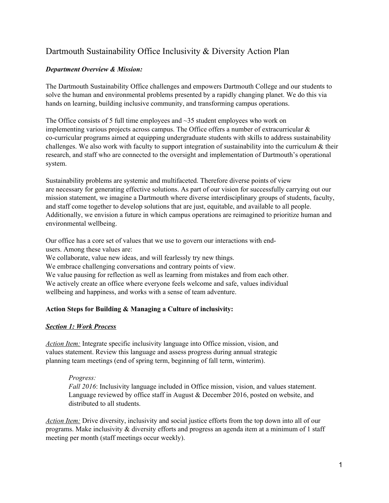# Dartmouth Sustainability Office Inclusivity & Diversity Action Plan

# *Department Overview & Mission:*

The Dartmouth Sustainability Office challenges and empowers Dartmouth College and our students to solve the human and environmental problems presented by a rapidly changing planet. We do this via hands on learning, building inclusive community, and transforming campus operations.

The Office consists of 5 full time employees and ~35 student employees who work on implementing various projects across campus. The Office offers a number of extracurricular & co-curricular programs aimed at equipping undergraduate students with skills to address sustainability challenges. We also work with faculty to support integration of sustainability into the curriculum  $\&$  their research, and staff who are connected to the oversight and implementation of Dartmouth's operational system.

Sustainability problems are systemic and multifaceted. Therefore diverse points of view are necessary for generating effective solutions. As part of our vision for successfully carrying out our mission statement, we imagine a Dartmouth where diverse interdisciplinary groups of students, faculty, and staff come together to develop solutions that are just, equitable, and available to all people. Additionally, we envision a future in which campus operations are reimagined to prioritize human and environmental wellbeing.

Our office has a core set of values that we use to govern our interactions with endusers. Among these values are:

We collaborate, value new ideas, and will fearlessly try new things.

We embrace challenging conversations and contrary points of view.

We value pausing for reflection as well as learning from mistakes and from each other. We actively create an office where everyone feels welcome and safe, values individual wellbeing and happiness, and works with a sense of team adventure.

# **Action Steps for Building & Managing a Culture of inclusivity:**

# *Section 1: Work Process*

*Action Item:* Integrate specific inclusivity language into Office mission, vision, and values statement. Review this language and assess progress during annual strategic planning team meetings (end of spring term, beginning of fall term, winterim).

# *Progress:*

*Fall 2016*: Inclusivity language included in Office mission, vision, and values statement. Language reviewed by office staff in August & December 2016, posted on website, and distributed to all students.

*Action Item:* Drive diversity, inclusivity and social justice efforts from the top down into all of our programs. Make inclusivity & diversity efforts and progress an agenda item at a minimum of 1 staff meeting per month (staff meetings occur weekly).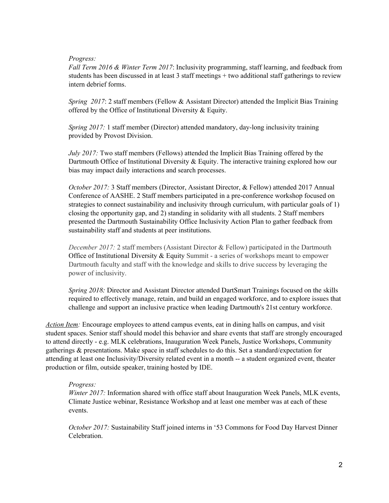### *Progress:*

*Fall Term 2016 & Winter Term 2017*: Inclusivity programming, staff learning, and feedback from students has been discussed in at least 3 staff meetings + two additional staff gatherings to review intern debrief forms.

*Spring 2017*: 2 staff members (Fellow & Assistant Director) attended the Implicit Bias Training offered by the Office of Institutional Diversity & Equity.

*Spring 2017:* 1 staff member (Director) attended mandatory, day-long inclusivity training provided by Provost Division.

*July 2017:* Two staff members (Fellows) attended the Implicit Bias Training offered by the Dartmouth Office of Institutional Diversity & Equity. The interactive training explored how our bias may impact daily interactions and search processes.

*October 2017:* 3 Staff members (Director, Assistant Director, & Fellow) attended 2017 Annual Conference of AASHE. 2 Staff members participated in a pre-conference workshop focused on strategies to connect sustainability and inclusivity through curriculum, with particular goals of 1) closing the opportunity gap, and 2) standing in solidarity with all students. 2 Staff members presented the Dartmouth Sustainability Office Inclusivity Action Plan to gather feedback from sustainability staff and students at peer institutions.

*December 2017:* 2 staff members (Assistant Director & Fellow) participated in the Dartmouth Office of Institutional Diversity & Equity Summit - a series of workshops meant to empower Dartmouth faculty and staff with the knowledge and skills to drive success by leveraging the power of inclusivity.

*Spring 2018:* Director and Assistant Director attended DartSmart Trainings focused on the skills required to effectively manage, retain, and build an engaged workforce, and to explore issues that challenge and support an inclusive practice when leading Dartmouth's 21st century workforce.

*Action Item:* Encourage employees to attend campus events, eat in dining halls on campus, and visit student spaces. Senior staff should model this behavior and share events that staff are strongly encouraged to attend directly - e.g. MLK celebrations, Inauguration Week Panels, Justice Workshops, Community gatherings & presentations. Make space in staff schedules to do this. Set a standard/expectation for attending at least one Inclusivity/Diversity related event in a month -- a student organized event, theater production or film, outside speaker, training hosted by IDE.

# *Progress:*

*Winter 2017:* Information shared with office staff about Inauguration Week Panels, MLK events, Climate Justice webinar, Resistance Workshop and at least one member was at each of these events.

*October 2017:* Sustainability Staff joined interns in '53 Commons for Food Day Harvest Dinner Celebration.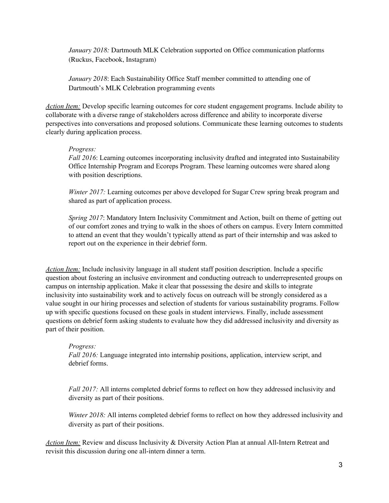*January 2018:* Dartmouth MLK Celebration supported on Office communication platforms (Ruckus, Facebook, Instagram)

*January 2018*: Each Sustainability Office Staff member committed to attending one of Dartmouth's MLK Celebration programming events

*Action Item:* Develop specific learning outcomes for core student engagement programs. Include ability to collaborate with a diverse range of stakeholders across difference and ability to incorporate diverse perspectives into conversations and proposed solutions. Communicate these learning outcomes to students clearly during application process.

# *Progress:*

*Fall 2016*: Learning outcomes incorporating inclusivity drafted and integrated into Sustainability Office Internship Program and Ecoreps Program. These learning outcomes were shared along with position descriptions.

*Winter 2017:* Learning outcomes per above developed for Sugar Crew spring break program and shared as part of application process.

*Spring 2017*: Mandatory Intern Inclusivity Commitment and Action, built on theme of getting out of our comfort zones and trying to walk in the shoes of others on campus. Every Intern committed to attend an event that they wouldn't typically attend as part of their internship and was asked to report out on the experience in their debrief form.

*Action Item:* Include inclusivity language in all student staff position description. Include a specific question about fostering an inclusive environment and conducting outreach to underrepresented groups on campus on internship application. Make it clear that possessing the desire and skills to integrate inclusivity into sustainability work and to actively focus on outreach will be strongly considered as a value sought in our hiring processes and selection of students for various sustainability programs. Follow up with specific questions focused on these goals in student interviews. Finally, include assessment questions on debrief form asking students to evaluate how they did addressed inclusivity and diversity as part of their position.

# *Progress:*

*Fall 2016:* Language integrated into internship positions, application, interview script, and debrief forms.

*Fall 2017:* All interns completed debrief forms to reflect on how they addressed inclusivity and diversity as part of their positions.

*Winter 2018:* All interns completed debrief forms to reflect on how they addressed inclusivity and diversity as part of their positions.

*Action Item:* Review and discuss Inclusivity & Diversity Action Plan at annual All-Intern Retreat and revisit this discussion during one all-intern dinner a term.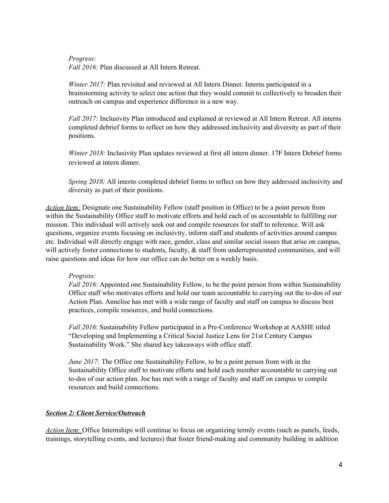*Progress:*

*Fall 2016:* Plan discussed at All Intern Retreat.

*Winter 2017:* Plan revisited and reviewed at All Intern Dinner. Interns participated in a brainstorming activity to select one action that they would commit to collectively to broaden their outreach on campus and experience difference in a new way.

*Fall 2017:* Inclusivity Plan introduced and explained at reviewed at All Intern Retreat. All interns completed debrief forms to reflect on how they addressed inclusivity and diversity as part of their positions.

*Winter 2018:* Inclusivity Plan updates reviewed at first all intern dinner. 17F Intern Debrief forms reviewed at intern dinner.

*Spring 2018:* All interns completed debrief forms to reflect on how they addressed inclusivity and diversity as part of their positions.

*Action Item:* Designate one Sustainability Fellow (staff position in Office) to be a point person from within the Sustainability Office staff to motivate efforts and hold each of us accountable to fulfilling our mission. This individual will actively seek out and compile resources for staff to reference. Will ask questions, organize events focusing on inclusivity, inform staff and students of activities around campus etc. Individual will directly engage with race, gender, class and similar social issues that arise on campus, will actively foster connections to students, faculty,  $\&$  staff from underrepresented communities, and will raise questions and ideas for how our office can do better on a weekly basis.

# *Progress:*

*Fall 2016*: Appointed one Sustainability Fellow, to be the point person from within Sustainability Office staff who motivates efforts and hold our team accountable to carrying out the to-dos of our Action Plan. Annelise has met with a wide range of faculty and staff on campus to discuss best practices, compile resources, and build connections.

*Fall 2016*: Sustainability Fellow participated in a Pre-Conference Workshop at AASHE titled "Developing and Implementing a Critical Social Justice Lens for 21st Century Campus Sustainability Work." She shared key takeaways with office staff.

*June* 2017: The Office one Sustainability Fellow, to be a point person from with in the Sustainability Office staff to motivate efforts and hold each member accountable to carrying out to-dos of our action plan. Joe has met with a range of faculty and staff on campus to compile resources and build connections.

# *Section 2: Client Service/Outreach*

*Action Item:* Office Internships will continue to focus on organizing termly events (such as panels, feeds, trainings, storytelling events, and lectures) that foster friend-making and community building in addition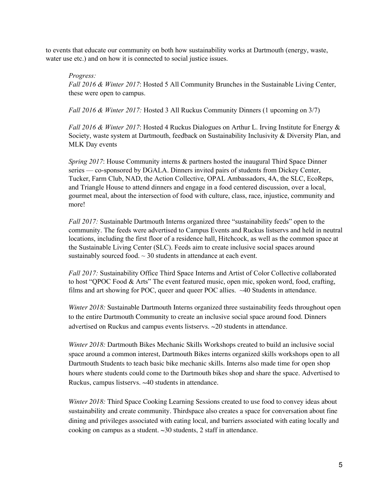to events that educate our community on both how sustainability works at Dartmouth (energy, waste, water use etc.) and on how it is connected to social justice issues.

#### *Progress:*

*Fall 2016 & Winter 2017*: Hosted 5 All Community Brunches in the Sustainable Living Center, these were open to campus.

*Fall 2016 & Winter 2017:* Hosted 3 All Ruckus Community Dinners (1 upcoming on 3/7)

*Fall 2016 & Winter 2017*: Hosted 4 Ruckus Dialogues on Arthur L. Irving Institute for Energy & Society, waste system at Dartmouth, feedback on Sustainability Inclusivity & Diversity Plan, and MLK Day events

*Spring 2017*: House Community interns & partners hosted the inaugural Third Space Dinner series — co-sponsored by DGALA. Dinners invited pairs of students from Dickey Center, Tucker, Farm Club, NAD, the Action Collective, OPAL Ambassadors, 4A, the SLC, EcoReps, and Triangle House to attend dinners and engage in a food centered discussion, over a local, gourmet meal, about the intersection of food with culture, class, race, injustice, community and more!

*Fall 2017:* Sustainable Dartmouth Interns organized three "sustainability feeds" open to the community. The feeds were advertised to Campus Events and Ruckus listservs and held in neutral locations, including the first floor of a residence hall, Hitchcock, as well as the common space at the Sustainable Living Center (SLC). Feeds aim to create inclusive social spaces around sustainably sourced food.  $\sim$  30 students in attendance at each event.

*Fall 2017:* Sustainability Office Third Space Interns and Artist of Color Collective collaborated to host "QPOC Food & Arts" The event featured music, open mic, spoken word, food, crafting, films and art showing for POC, queer and queer POC allies. ~40 Students in attendance.

*Winter 2018:* Sustainable Dartmouth Interns organized three sustainability feeds throughout open to the entire Dartmouth Community to create an inclusive social space around food. Dinners advertised on Ruckus and campus events listservs. ~20 students in attendance.

*Winter 2018:* Dartmouth Bikes Mechanic Skills Workshops created to build an inclusive social space around a common interest, Dartmouth Bikes interns organized skills workshops open to all Dartmouth Students to teach basic bike mechanic skills. Interns also made time for open shop hours where students could come to the Dartmouth bikes shop and share the space. Advertised to Ruckus, campus listservs. ~40 students in attendance.

*Winter 2018:* Third Space Cooking Learning Sessions created to use food to convey ideas about sustainability and create community. Thirdspace also creates a space for conversation about fine dining and privileges associated with eating local, and barriers associated with eating locally and cooking on campus as a student. ~30 students, 2 staff in attendance.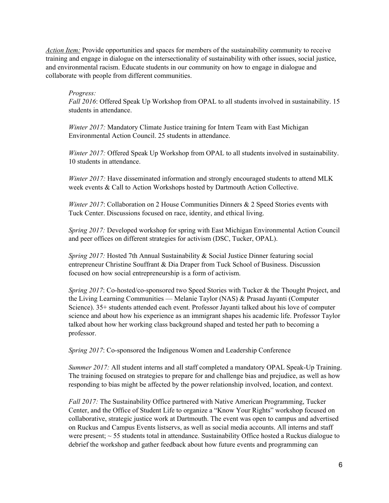*Action Item:* Provide opportunities and spaces for members of the sustainability community to receive training and engage in dialogue on the intersectionality of sustainability with other issues, social justice, and environmental racism. Educate students in our community on how to engage in dialogue and collaborate with people from different communities.

# *Progress:*

*Fall 2016*: Offered Speak Up Workshop from OPAL to all students involved in sustainability. 15 students in attendance.

*Winter 2017:* Mandatory Climate Justice training for Intern Team with East Michigan Environmental Action Council. 25 students in attendance.

*Winter 2017:* Offered Speak Up Workshop from OPAL to all students involved in sustainability. 10 students in attendance.

*Winter 2017:* Have disseminated information and strongly encouraged students to attend MLK week events & Call to Action Workshops hosted by Dartmouth Action Collective.

*Winter* 2017: Collaboration on 2 House Communities Dinners & 2 Speed Stories events with Tuck Center. Discussions focused on race, identity, and ethical living.

*Spring 2017:* Developed workshop for spring with East Michigan Environmental Action Council and peer offices on different strategies for activism (DSC, Tucker, OPAL).

*Spring 2017:* Hosted 7th Annual Sustainability & Social Justice Dinner featuring social entrepreneur Christine Souffrant & Dia Draper from Tuck School of Business. Discussion focused on how social entrepreneurship is a form of activism.

*Spring 2017*: Co-hosted/co-sponsored two Speed Stories with Tucker & the Thought Project, and the Living Learning Communities — Melanie Taylor (NAS) & Prasad Jayanti (Computer Science). 35+ students attended each event. Professor Jayanti talked about his love of computer science and about how his experience as an immigrant shapes his academic life. Professor Taylor talked about how her working class background shaped and tested her path to becoming a professor.

*Spring 2017*: Co-sponsored the Indigenous Women and Leadership Conference

*Summer* 2017: All student interns and all staff completed a mandatory OPAL Speak-Up Training. The training focused on strategies to prepare for and challenge bias and prejudice, as well as how responding to bias might be affected by the power relationship involved, location, and context.

*Fall 2017:* The Sustainability Office partnered with Native American Programming, Tucker Center, and the Office of Student Life to organize a "Know Your Rights" workshop focused on collaborative, strategic justice work at Dartmouth. The event was open to campus and advertised on Ruckus and Campus Events listservs, as well as social media accounts. All interns and staff were present;  $\sim$  55 students total in attendance. Sustainability Office hosted a Ruckus dialogue to debrief the workshop and gather feedback about how future events and programming can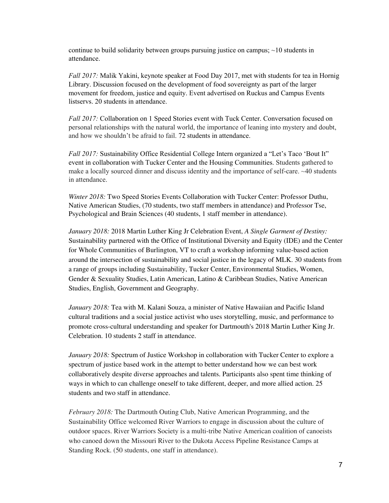continue to build solidarity between groups pursuing justice on campus;  $\sim$ 10 students in attendance.

*Fall 2017:* Malik Yakini, keynote speaker at Food Day 2017, met with students for tea in Hornig Library. Discussion focused on the development of food sovereignty as part of the larger movement for freedom, justice and equity. Event advertised on Ruckus and Campus Events listservs. 20 students in attendance.

*Fall 2017:* Collaboration on 1 Speed Stories event with Tuck Center. Conversation focused on personal relationships with the natural world, the importance of leaning into mystery and doubt, and how we shouldn't be afraid to fail. 72 students in attendance.

*Fall 2017:* Sustainability Office Residential College Intern organized a "Let's Taco 'Bout It" event in collaboration with Tucker Center and the Housing Communities. Students gathered to make a locally sourced dinner and discuss identity and the importance of self-care. ~40 students in attendance.

*Winter 2018:* Two Speed Stories Events Collaboration with Tucker Center: Professor Duthu, Native American Studies, (70 students, two staff members in attendance) and Professor Tse, Psychological and Brain Sciences (40 students, 1 staff member in attendance).

*January 2018:* 2018 Martin Luther King Jr Celebration Event, *A Single Garment of Destiny:* Sustainability partnered with the Office of Institutional Diversity and Equity (IDE) and the Center for Whole Communities of Burlington, VT to craft a workshop informing value-based action around the intersection of sustainability and social justice in the legacy of MLK. 30 students from a range of groups including Sustainability, Tucker Center, Environmental Studies, Women, Gender & Sexuality Studies, Latin American, Latino & Caribbean Studies, Native American Studies, English, Government and Geography.

*January 2018:* Tea with M. Kalani Souza, a minister of Native Hawaiian and Pacific Island cultural traditions and a social justice activist who uses storytelling, music, and performance to promote cross-cultural understanding and speaker for Dartmouth's 2018 Martin Luther King Jr. Celebration. 10 students 2 staff in attendance.

*January 2018:* Spectrum of Justice Workshop in collaboration with Tucker Center to explore a spectrum of justice based work in the attempt to better understand how we can best work collaboratively despite diverse approaches and talents. Participants also spent time thinking of ways in which to can challenge oneself to take different, deeper, and more allied action. 25 students and two staff in attendance.

*February 2018:* The Dartmouth Outing Club, Native American Programming, and the Sustainability Office welcomed River Warriors to engage in discussion about the culture of outdoor spaces. River Warriors Society is a multi-tribe Native American coalition of canoeists who canoed down the Missouri River to the Dakota Access Pipeline Resistance Camps at Standing Rock. (50 students, one staff in attendance).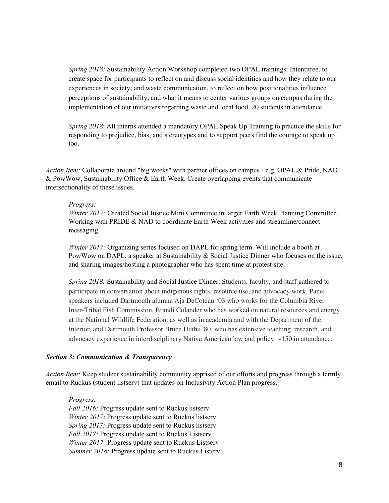*Spring 2018:* Sustainability Action Workshop completed two OPAL trainings: Intentitree, to create space for participants to reflect on and discuss social identities and how they relate to our experiences in society; and waste communication, to reflect on how positionalities influence perceptions of sustainability, and what it means to center various groups on campus during the implementation of our initiatives regarding waste and local food. 20 students in attendance.

*Spring 2018*: All interns attended a mandatory OPAL Speak Up Training to practice the skills for responding to prejudice, bias, and stereotypes and to support peers find the courage to speak up too.

*Action Item:* Collaborate around "big weeks" with partner offices on campus - e.g. OPAL & Pride, NAD & PowWow, Sustainability Office & Earth Week. Create overlapping events that communicate intersectionality of these issues.

#### *Progress:*

*Winter 2017:* Created Social Justice Mini Committee in larger Earth Week Planning Committee. Working with PRIDE & NAD to coordinate Earth Week activities and streamline/connect messaging.

*Winter 2017:* Organizing series focused on DAPL for spring term. Will include a booth at PowWow on DAPL, a speaker at Sustainability & Social Justice Dinner who focuses on the issue, and sharing images/hosting a photographer who has spent time at protest site.

*Spring 2018:* Sustainability and Social Justice Dinner: Students, faculty, and staff gathered to participate in conversation about indigenous rights, resource use, and advocacy work. Panel speakers included Dartmouth alumna Aja DeCoteau '03 who works for the Columbia River Inter-Tribal Fish Commission, Brandi Colander who has worked on natural resources and energy at the National Wildlife Federation, as well as in academia and with the Department of the Interior, and Dartmouth Professor Bruce Duthu '80, who has extensive teaching, research, and advocacy experience in interdisciplinary Native American law and policy. ~150 in attendance.

#### *Section 3: Communication & Transparency*

*Action Item:* Keep student sustainability community apprised of our efforts and progress through a termly email to Ruckus (student listserv) that updates on Inclusivity Action Plan progress.

*Progress: Fall 2016:* Progress update sent to Ruckus listserv *Winter 2017*: Progress update sent to Ruckus listserv *Spring 2017:* Progress update sent to Ruckus listserv *Fall 2017:* Progress update sent to Ruckus Listserv *Winter 2017:* Progress update sent to Ruckus Listserv *Summer 2018:* Progress update sent to Ruckus Listerv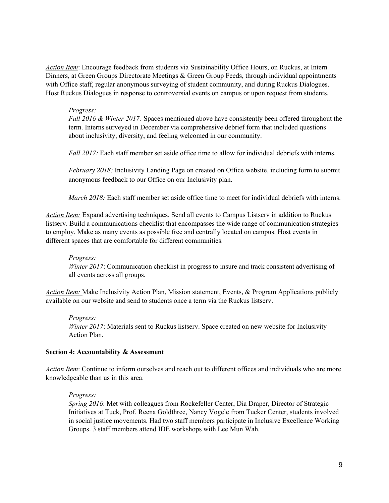*Action Item*: Encourage feedback from students via Sustainability Office Hours, on Ruckus, at Intern Dinners, at Green Groups Directorate Meetings & Green Group Feeds, through individual appointments with Office staff, regular anonymous surveying of student community, and during Ruckus Dialogues. Host Ruckus Dialogues in response to controversial events on campus or upon request from students.

#### *Progress:*

*Fall 2016 & Winter 2017:* Spaces mentioned above have consistently been offered throughout the term. Interns surveyed in December via comprehensive debrief form that included questions about inclusivity, diversity, and feeling welcomed in our community.

*Fall 2017:* Each staff member set aside office time to allow for individual debriefs with interns.

*February 2018:* Inclusivity Landing Page on created on Office website, including form to submit anonymous feedback to our Office on our Inclusivity plan.

*March 2018:* Each staff member set aside office time to meet for individual debriefs with interns.

*Action Item:* Expand advertising techniques. Send all events to Campus Listserv in addition to Ruckus listserv. Build a communications checklist that encompasses the wide range of communication strategies to employ. Make as many events as possible free and centrally located on campus. Host events in different spaces that are comfortable for different communities.

# *Progress:*

*Winter 2017*: Communication checklist in progress to insure and track consistent advertising of all events across all groups.

*Action Item:* Make Inclusivity Action Plan, Mission statement, Events, & Program Applications publicly available on our website and send to students once a term via the Ruckus listserv.

*Progress: Winter 2017*: Materials sent to Ruckus listserv. Space created on new website for Inclusivity Action Plan.

#### **Section 4: Accountability & Assessment**

*Action Item*: Continue to inform ourselves and reach out to different offices and individuals who are more knowledgeable than us in this area.

#### *Progress:*

*Spring 2016*: Met with colleagues from Rockefeller Center, Dia Draper, Director of Strategic Initiatives at Tuck, Prof. Reena Goldthree, Nancy Vogele from Tucker Center, students involved in social justice movements. Had two staff members participate in Inclusive Excellence Working Groups. 3 staff members attend IDE workshops with Lee Mun Wah.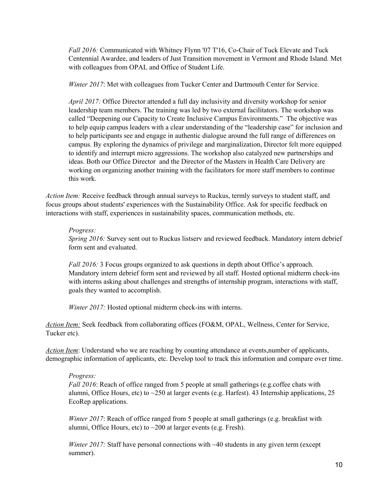*Fall 2016:* Communicated with Whitney Flynn '07 T'16, Co-Chair of Tuck Elevate and Tuck Centennial Awardee, and leaders of Just Transition movement in Vermont and Rhode Island. Met with colleagues from OPAL and Office of Student Life.

*Winter 2017*: Met with colleagues from Tucker Center and Dartmouth Center for Service.

*April 2017:* Office Director attended a full day inclusivity and diversity workshop for senior leadership team members. The training was led by two external facilitators. The workshop was called "Deepening our Capacity to Create Inclusive Campus Environments." The objective was to help equip campus leaders with a clear understanding of the "leadership case" for inclusion and to help participants see and engage in authentic dialogue around the full range of differences on campus. By exploring the dynamics of privilege and marginalization, Director felt more equipped to identify and interrupt micro aggressions. The workshop also catalyzed new partnerships and ideas. Both our Office Director and the Director of the Masters in Health Care Delivery are working on organizing another training with the facilitators for more staff members to continue this work.

*Action Item:* Receive feedback through annual surveys to Ruckus, termly surveys to student staff, and focus groups about students' experiences with the Sustainability Office. Ask for specific feedback on interactions with staff, experiences in sustainability spaces, communication methods, etc.

# *Progress:*

*Spring 2016:* Survey sent out to Ruckus listserv and reviewed feedback. Mandatory intern debrief form sent and evaluated.

*Fall 2016:* 3 Focus groups organized to ask questions in depth about Office's approach. Mandatory intern debrief form sent and reviewed by all staff. Hosted optional midterm check-ins with interns asking about challenges and strengths of internship program, interactions with staff, goals they wanted to accomplish.

*Winter 2017:* Hosted optional midterm check-ins with interns.

*Action Item:* Seek feedback from collaborating offices (FO&M, OPAL, Wellness, Center for Service, Tucker etc).

*Action Item*: Understand who we are reaching by counting attendance at events,number of applicants, demographic information of applicants, etc. Develop tool to track this information and compare over time.

# *Progress:*

*Fall 2016*: Reach of office ranged from 5 people at small gatherings (e.g.coffee chats with alumni, Office Hours, etc) to  $\sim$ 250 at larger events (e.g. Harfest). 43 Internship applications, 25 EcoRep applications.

*Winter 2017*: Reach of office ranged from 5 people at small gatherings (e.g. breakfast with alumni, Office Hours, etc) to  $\sim$  200 at larger events (e.g. Fresh).

*Winter* 2017: Staff have personal connections with ~40 students in any given term (except summer).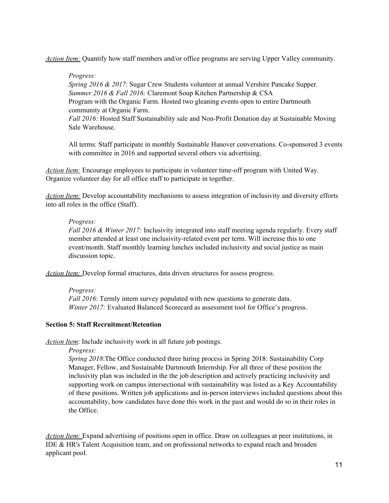*Action Item:* Quantify how staff members and/or office programs are serving Upper Valley community.

*Progress:*

*Spring 2016 & 2017*: Sugar Crew Students volunteer at annual Vershire Pancake Supper. *Summer 2016 & Fall 2016:* Claremont Soup Kitchen Partnership & CSA Program with the Organic Farm. Hosted two gleaning events open to entire Dartmouth community at Organic Farm. *Fall 2016:* Hosted Staff Sustainability sale and Non-Profit Donation day at Sustainable Moving Sale Warehouse.

All terms: Staff participate in monthly Sustainable Hanover conversations. Co-sponsored 3 events with committee in 2016 and supported several others via advertising.

*Action Item:* Encourage employees to participate in volunteer time-off program with United Way. Organize volunteer day for all office staff to participate in together.

*Action Item:* Develop accountability mechanisms to assess integration of inclusivity and diversity efforts into all roles in the office (Staff).

# *Progress:*

*Fall 2016 & Winter 2017:* Inclusivity integrated into staff meeting agenda regularly. Every staff member attended at least one inclusivity-related event per term. Will increase this to one event/month. Staff monthly learning lunches included inclusivity and social justice as main discussion topic.

*Action Item:* Develop formal structures, data driven structures for assess progress.

# *Progress:*

*Fall 2016*: Termly intern survey populated with new questions to generate data. *Winter 2017:* Evaluated Balanced Scorecard as assessment tool for Office's progress.

# **Section 5: Staff Recruitment/Retention**

*Action Item*: Include inclusivity work in all future job postings.

*Progress:*

*Spring 2018*:The Office conducted three hiring process in Spring 2018: Sustainability Corp Manager, Fellow, and Sustainable Dartmouth Internship. For all three of these position the inclusivity plan was included in the the job description and actively practicing inclusivity and supporting work on campus intersectional with sustainability was listed as a Key Accountability of these positions. Written job applications and in-person interviews included questions about this accountability, how candidates have done this work in the past and would do so in their roles in the Office.

*Action Item:* Expand advertising of positions open in office. Draw on colleagues at peer institutions, in IDE & HR's Talent Acquisition team, and on professional networks to expand reach and broaden applicant pool.